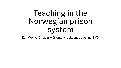# Teaching in the Norwegian prison system

Elin Wekre Dingsør – Grønland voksenopplæring GVO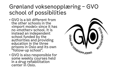#### Grønland voksenopplæring – GVO school of possibilities

- GVO is a bit different from the other schools in the «import model» since it has no «mother»-school. It is instead an independent school funded by the authorities and providing education in the three prisons in Oslo and its own "follow-up school".
- GVO is also responsible for some weekly courses held in a drug rehabilitation center in Oslo.

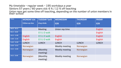My timetable – regular week – 195 workdays a year Seniors 57 years  $\overline{I}$  60 years old: 6 % / 12 % off teaching Union reps get some time off teaching, depending on the number of union members in their school

| <b>Times:</b>   | <b>MONDAY G26</b>      | <b>TUESDAY Tyrili</b> | <b>WEDNESDAY</b>      | <b>THURSDAY</b> | <b>FRIDAY</b>  |
|-----------------|------------------------|-----------------------|-----------------------|-----------------|----------------|
|                 | <b>Follow-up class</b> | drug rehab.           | G26                   | G26             | G26            |
| $08:30 - 09:15$ |                        | <b>Meeting</b>        | Union rep time        |                 | <b>English</b> |
| $09:15 - 10:00$ |                        | O S L O walk          |                       |                 | <b>English</b> |
| $10.15 - 11:00$ | <b>English</b>         | O S L O walk          | <b>English</b>        |                 | <b>English</b> |
| $11:00 - 11:45$ | <b>English</b>         | O S L O walk          | <b>English</b>        |                 | <b>English</b> |
| $11:45 - 12:30$ | <b>LUNCH</b>           | <b>LUNCH</b>          | <b>LUNCH</b>          | <b>LUNCH</b>    | <b>LUNCH</b>   |
| $12:30 - 13:15$ | Norwegian              |                       | <b>Weekly meeting</b> | Norwegian       |                |
| $13:15 - 14:00$ | Norwegian              | (Monthly)<br>meeting) | <b>Weekly meeting</b> | Norwegian       |                |
| $14:15 - 15:00$ | Norwegian              | (Monthly)<br>meeting) | <b>Weekly meeting</b> | Norwegian       |                |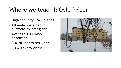#### Where we teach I: Oslo Prison

- High security: 243 places
- All male, detained in custody, awaiting trial
- Average 100 days detention
- 300 students per year
- 30-40 every week

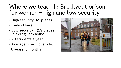#### Where we teach II: Bredtvedt prison for women – high and low security

- High security: 45 places
- (behind bars)
- Low security (19 places) in a «regular» house.
- 70 students a year
- Average time in custody: 6 years, 3 months

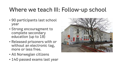#### Where we teach III: Follow-up school

- 90 participants last school year
- Strong encouragment to complete secondary education (up to 18)
- Released prisoners with or without an electronic tag, more or less free.
- All Norwegian citizens
- 140 passed exams last year

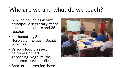#### Who are we and what do we teach?

- A principal, an assistant principal, a secretary, three school counsellors and 25 teachers.
- Mathematics, Science, Norwegian, English, Social Sciences.
- Various food classes, hairdressing, art, gardening, yoga, music, customer service skills.
- Shorter courses for those

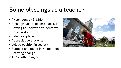### Some blessings as a teacher

- Prison bonus £ 125,-
- Small groups, teachers discretion
- Getting to know the students well
- No security on site
- Safe workplace
- Appreciative students
- Valued position in society
- Support and belief in rehabilition
- Creating change
- (20 % reoffending rate)

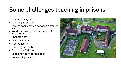## Some challenges teaching in prisons

- Education vs justice
- Learning vs security
- Lack of coordination between different services
- Needs of the students vs needs of the institution
- Absenteeism
- Criminal minds
- Mental health
- Learning disabilities
- Dyslexia, ADHD etc
- Buildings not fit for purpose
- No security on site

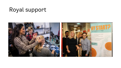#### Royal support